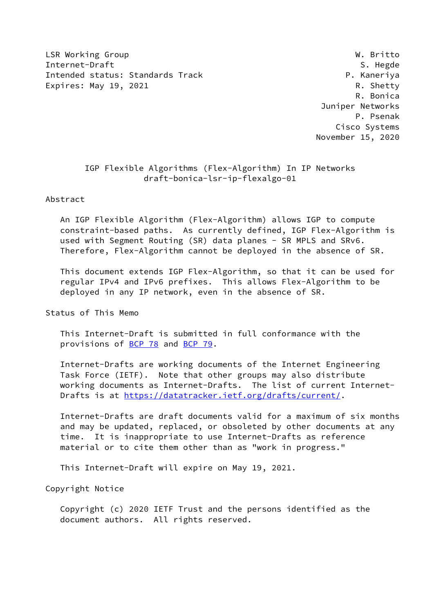LSR Working Group National Communication of the U.S. Communication of the U.S. Communication of the U.S. Communication of the U.S. Communication of the U.S. Communication of the U.S. Communication of the U.S. Communication Internet-Draft S. Hegde Intended status: Standards Track entitled and the P. Kaneriya Expires: May 19, 2021 R. Shetty

 R. Bonica Juniper Networks P. Psenak Cisco Systems November 15, 2020

# IGP Flexible Algorithms (Flex-Algorithm) In IP Networks draft-bonica-lsr-ip-flexalgo-01

Abstract

 An IGP Flexible Algorithm (Flex-Algorithm) allows IGP to compute constraint-based paths. As currently defined, IGP Flex-Algorithm is used with Segment Routing (SR) data planes - SR MPLS and SRv6. Therefore, Flex-Algorithm cannot be deployed in the absence of SR.

 This document extends IGP Flex-Algorithm, so that it can be used for regular IPv4 and IPv6 prefixes. This allows Flex-Algorithm to be deployed in any IP network, even in the absence of SR.

Status of This Memo

 This Internet-Draft is submitted in full conformance with the provisions of [BCP 78](https://datatracker.ietf.org/doc/pdf/bcp78) and [BCP 79](https://datatracker.ietf.org/doc/pdf/bcp79).

 Internet-Drafts are working documents of the Internet Engineering Task Force (IETF). Note that other groups may also distribute working documents as Internet-Drafts. The list of current Internet- Drafts is at<https://datatracker.ietf.org/drafts/current/>.

 Internet-Drafts are draft documents valid for a maximum of six months and may be updated, replaced, or obsoleted by other documents at any time. It is inappropriate to use Internet-Drafts as reference material or to cite them other than as "work in progress."

This Internet-Draft will expire on May 19, 2021.

Copyright Notice

 Copyright (c) 2020 IETF Trust and the persons identified as the document authors. All rights reserved.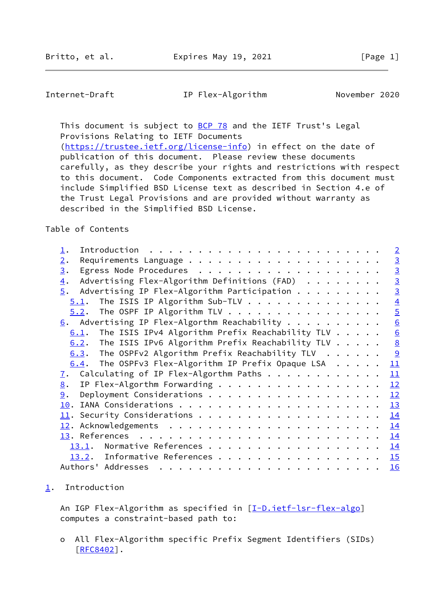<span id="page-1-1"></span>Internet-Draft IP Flex-Algorithm November 2020

This document is subject to **[BCP 78](https://datatracker.ietf.org/doc/pdf/bcp78)** and the IETF Trust's Legal Provisions Relating to IETF Documents

[\(https://trustee.ietf.org/license-info](https://trustee.ietf.org/license-info)) in effect on the date of publication of this document. Please review these documents carefully, as they describe your rights and restrictions with respect to this document. Code Components extracted from this document must include Simplified BSD License text as described in Section 4.e of the Trust Legal Provisions and are provided without warranty as described in the Simplified BSD License.

Table of Contents

|                                                                    |  | $\overline{2}$   |
|--------------------------------------------------------------------|--|------------------|
| 2.                                                                 |  | $\overline{3}$   |
| 3.                                                                 |  | $\overline{3}$   |
| Advertising Flex-Algorithm Definitions (FAD)<br>$\overline{4}$ .   |  | $\overline{3}$   |
| Advertising IP Flex-Algorithm Participation<br>$\overline{5}$ .    |  | $\overline{3}$   |
| The ISIS IP Algorithm Sub-TLV<br>5.1.                              |  | $\overline{4}$   |
| $5.2$ . The OSPF IP Algorithm TLV                                  |  | $\overline{5}$   |
| $\underline{6}$ . Advertising IP Flex-Algorthm Reachability        |  | $\overline{6}$   |
| The ISIS IPv4 Algorithm Prefix Reachability TLV $\ldots$ .<br>6.1. |  | $6 \overline{6}$ |
| $6.2$ . The ISIS IPv6 Algorithm Prefix Reachability TLV            |  | $\underline{8}$  |
| 6.3. The OSPFv2 Algorithm Prefix Reachability TLV $\ldots$         |  | $\overline{9}$   |
| $6.4$ . The OSPFv3 Flex-Algorithm IP Prefix Opaque LSA             |  | 11               |
| Calculating of IP Flex-Algorthm Paths<br><u>7</u> .                |  | 11               |
| IP Flex-Algorthm Forwarding<br>8.                                  |  | 12               |
| 9.                                                                 |  | 12               |
| 10.                                                                |  | 13               |
|                                                                    |  | 14               |
|                                                                    |  | 14               |
|                                                                    |  | 14               |
| 13.1.                                                              |  | 14               |
| 13.2. Informative References                                       |  | 15               |
| Authors' Addresses                                                 |  | 16               |

### <span id="page-1-0"></span>[1](#page-1-0). Introduction

An IGP Flex-Algorithm as specified in [[I-D.ietf-lsr-flex-algo](#page-15-4)] computes a constraint-based path to:

 o All Flex-Algorithm specific Prefix Segment Identifiers (SIDs) [[RFC8402\]](https://datatracker.ietf.org/doc/pdf/rfc8402).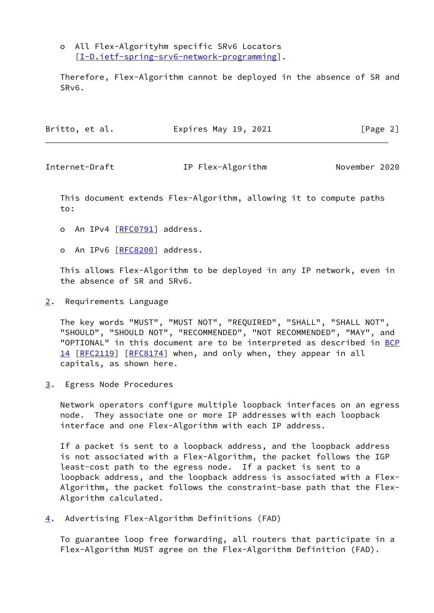o All Flex-Algorityhm specific SRv6 Locators [[I-D.ietf-spring-srv6-network-programming\]](#page-17-1).

 Therefore, Flex-Algorithm cannot be deployed in the absence of SR and SRv6.

| Britto, et al. | Expires May 19, 2021 | [Page 2] |
|----------------|----------------------|----------|
|----------------|----------------------|----------|

<span id="page-2-1"></span>

Internet-Draft IP Flex-Algorithm November 2020

 This document extends Flex-Algorithm, allowing it to compute paths to:

- o An IPv4 [[RFC0791\]](https://datatracker.ietf.org/doc/pdf/rfc0791) address.
- o An IPv6 [[RFC8200\]](https://datatracker.ietf.org/doc/pdf/rfc8200) address.

 This allows Flex-Algorithm to be deployed in any IP network, even in the absence of SR and SRv6.

<span id="page-2-0"></span>[2](#page-2-0). Requirements Language

 The key words "MUST", "MUST NOT", "REQUIRED", "SHALL", "SHALL NOT", "SHOULD", "SHOULD NOT", "RECOMMENDED", "NOT RECOMMENDED", "MAY", and "OPTIONAL" in this document are to be interpreted as described in [BCP](https://datatracker.ietf.org/doc/pdf/bcp14) [14](https://datatracker.ietf.org/doc/pdf/bcp14) [[RFC2119\]](https://datatracker.ietf.org/doc/pdf/rfc2119) [\[RFC8174](https://datatracker.ietf.org/doc/pdf/rfc8174)] when, and only when, they appear in all capitals, as shown here.

<span id="page-2-2"></span>[3](#page-2-2). Egress Node Procedures

 Network operators configure multiple loopback interfaces on an egress node. They associate one or more IP addresses with each loopback interface and one Flex-Algorithm with each IP address.

 If a packet is sent to a loopback address, and the loopback address is not associated with a Flex-Algorithm, the packet follows the IGP least-cost path to the egress node. If a packet is sent to a loopback address, and the loopback address is associated with a Flex- Algorithm, the packet follows the constraint-base path that the Flex- Algorithm calculated.

<span id="page-2-3"></span>[4](#page-2-3). Advertising Flex-Algorithm Definitions (FAD)

 To guarantee loop free forwarding, all routers that participate in a Flex-Algorithm MUST agree on the Flex-Algorithm Definition (FAD).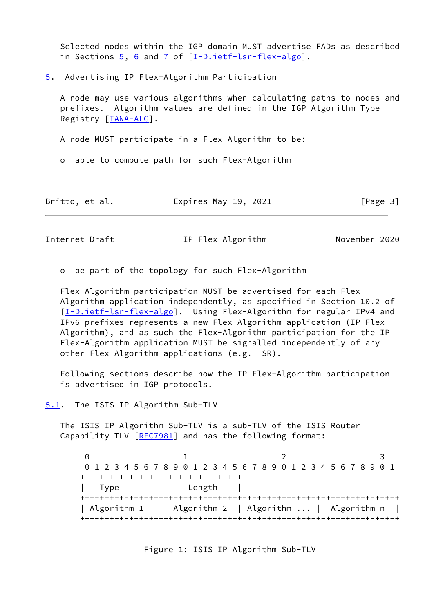Selected nodes within the IGP domain MUST advertise FADs as described in Sections  $\frac{5}{9}$ ,  $\frac{6}{9}$  and  $\frac{7}{9}$  of  $[\underline{I-D.ietf-lsr-flex-algo}]$  $[\underline{I-D.ietf-lsr-flex-algo}]$  $[\underline{I-D.ietf-lsr-flex-algo}]$ .

<span id="page-3-0"></span>[5](#page-3-0). Advertising IP Flex-Algorithm Participation

 A node may use various algorithms when calculating paths to nodes and prefixes. Algorithm values are defined in the IGP Algorithm Type Registry [\[IANA-ALG](#page-17-2)].

A node MUST participate in a Flex-Algorithm to be:

o able to compute path for such Flex-Algorithm

| Britto, et al. | Expires May 19, 2021 | [Page 3] |
|----------------|----------------------|----------|
|----------------|----------------------|----------|

<span id="page-3-2"></span>Internet-Draft IP Flex-Algorithm November 2020

o be part of the topology for such Flex-Algorithm

 Flex-Algorithm participation MUST be advertised for each Flex- Algorithm application independently, as specified in Section 10.2 of [\[I-D.ietf-lsr-flex-algo](#page-15-4)]. Using Flex-Algorithm for regular IPv4 and IPv6 prefixes represents a new Flex-Algorithm application (IP Flex- Algorithm), and as such the Flex-Algorithm participation for the IP Flex-Algorithm application MUST be signalled independently of any other Flex-Algorithm applications (e.g. SR).

 Following sections describe how the IP Flex-Algorithm participation is advertised in IGP protocols.

<span id="page-3-1"></span>[5.1](#page-3-1). The ISIS IP Algorithm Sub-TLV

 The ISIS IP Algorithm Sub-TLV is a sub-TLV of the ISIS Router Capability TLV [\[RFC7981](https://datatracker.ietf.org/doc/pdf/rfc7981)] and has the following format:

 $0$  1 2 3 0 1 2 3 4 5 6 7 8 9 0 1 2 3 4 5 6 7 8 9 0 1 2 3 4 5 6 7 8 9 0 1 +-+-+-+-+-+-+-+-+-+-+-+-+-+-+-+-+ | Type | Length | +-+-+-+-+-+-+-+-+-+-+-+-+-+-+-+-+-+-+-+-+-+-+-+-+-+-+-+-+-+-+-+-+ | Algorithm 1 | Algorithm 2 | Algorithm ... | Algorithm n +-+-+-+-+-+-+-+-+-+-+-+-+-+-+-+-+-+-+-+-+-+-+-+-+-+-+-+-+-+-+-+-+

#### Figure 1: ISIS IP Algorithm Sub-TLV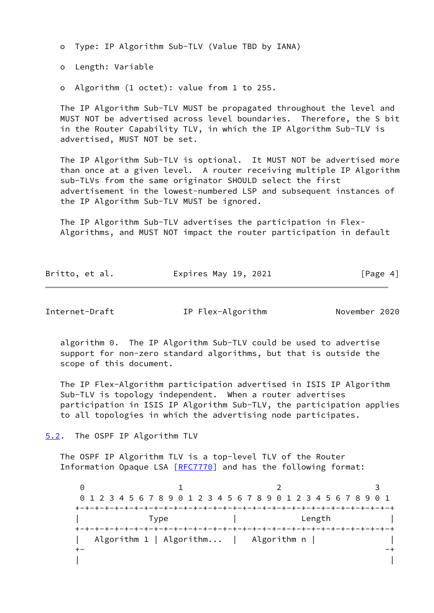o Type: IP Algorithm Sub-TLV (Value TBD by IANA)

o Length: Variable

o Algorithm (1 octet): value from 1 to 255.

 The IP Algorithm Sub-TLV MUST be propagated throughout the level and MUST NOT be advertised across level boundaries. Therefore, the S bit in the Router Capability TLV, in which the IP Algorithm Sub-TLV is advertised, MUST NOT be set.

 The IP Algorithm Sub-TLV is optional. It MUST NOT be advertised more than once at a given level. A router receiving multiple IP Algorithm sub-TLVs from the same originator SHOULD select the first advertisement in the lowest-numbered LSP and subsequent instances of the IP Algorithm Sub-TLV MUST be ignored.

 The IP Algorithm Sub-TLV advertises the participation in Flex- Algorithms, and MUST NOT impact the router participation in default

| Britto, et al. | Expires May 19, 2021 | [Page 4] |
|----------------|----------------------|----------|
|----------------|----------------------|----------|

<span id="page-4-1"></span>Internet-Draft IP Flex-Algorithm November 2020

 algorithm 0. The IP Algorithm Sub-TLV could be used to advertise support for non-zero standard algorithms, but that is outside the scope of this document.

 The IP Flex-Algorithm participation advertised in ISIS IP Algorithm Sub-TLV is topology independent. When a router advertises participation in ISIS IP Algorithm Sub-TLV, the participation applies to all topologies in which the advertising node participates.

<span id="page-4-0"></span>[5.2](#page-4-0). The OSPF IP Algorithm TLV

 The OSPF IP Algorithm TLV is a top-level TLV of the Router Information Opaque LSA [\[RFC7770](https://datatracker.ietf.org/doc/pdf/rfc7770)] and has the following format:

0 1 2 3 0 1 2 3 4 5 6 7 8 9 0 1 2 3 4 5 6 7 8 9 0 1 2 3 4 5 6 7 8 9 0 1 +-+-+-+-+-+-+-+-+-+-+-+-+-+-+-+-+-+-+-+-+-+-+-+-+-+-+-+-+-+-+-+-+ | Type | Length | +-+-+-+-+-+-+-+-+-+-+-+-+-+-+-+-+-+-+-+-+-+-+-+-+-+-+-+-+-+-+-+-+ | Algorithm 1 | Algorithm... | Algorithm n | |  $++$  - $-$ | |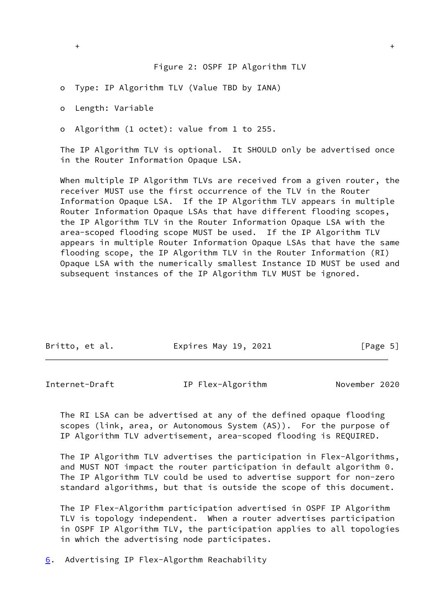o Type: IP Algorithm TLV (Value TBD by IANA)

o Length: Variable

o Algorithm (1 octet): value from 1 to 255.

 The IP Algorithm TLV is optional. It SHOULD only be advertised once in the Router Information Opaque LSA.

 When multiple IP Algorithm TLVs are received from a given router, the receiver MUST use the first occurrence of the TLV in the Router Information Opaque LSA. If the IP Algorithm TLV appears in multiple Router Information Opaque LSAs that have different flooding scopes, the IP Algorithm TLV in the Router Information Opaque LSA with the area-scoped flooding scope MUST be used. If the IP Algorithm TLV appears in multiple Router Information Opaque LSAs that have the same flooding scope, the IP Algorithm TLV in the Router Information (RI) Opaque LSA with the numerically smallest Instance ID MUST be used and subsequent instances of the IP Algorithm TLV MUST be ignored.

| Britto, et al. | Expires May 19, 2021 | [Page 5] |
|----------------|----------------------|----------|

<span id="page-5-1"></span>Internet-Draft IP Flex-Algorithm November 2020

 The RI LSA can be advertised at any of the defined opaque flooding scopes (link, area, or Autonomous System (AS)). For the purpose of IP Algorithm TLV advertisement, area-scoped flooding is REQUIRED.

 The IP Algorithm TLV advertises the participation in Flex-Algorithms, and MUST NOT impact the router participation in default algorithm 0. The IP Algorithm TLV could be used to advertise support for non-zero standard algorithms, but that is outside the scope of this document.

 The IP Flex-Algorithm participation advertised in OSPF IP Algorithm TLV is topology independent. When a router advertises participation in OSPF IP Algorithm TLV, the participation applies to all topologies in which the advertising node participates.

<span id="page-5-0"></span>[6](#page-5-0). Advertising IP Flex-Algorthm Reachability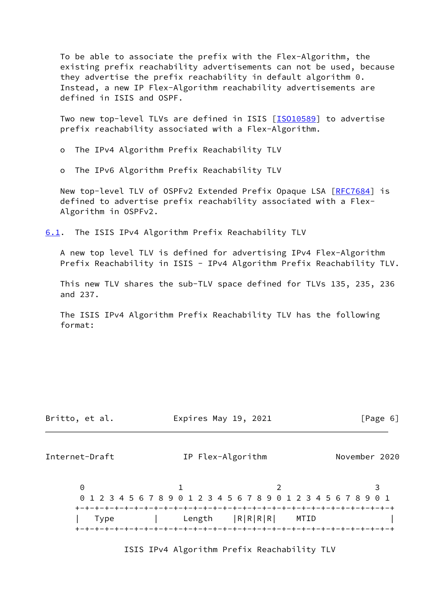To be able to associate the prefix with the Flex-Algorithm, the existing prefix reachability advertisements can not be used, because they advertise the prefix reachability in default algorithm 0. Instead, a new IP Flex-Algorithm reachability advertisements are defined in ISIS and OSPF.

Two new top-level TLVs are defined in ISIS [[ISO10589\]](#page-15-5) to advertise prefix reachability associated with a Flex-Algorithm.

o The IPv4 Algorithm Prefix Reachability TLV

o The IPv6 Algorithm Prefix Reachability TLV

New top-level TLV of OSPFv2 Extended Prefix Opaque LSA [\[RFC7684](https://datatracker.ietf.org/doc/pdf/rfc7684)] is defined to advertise prefix reachability associated with a Flex- Algorithm in OSPFv2.

<span id="page-6-0"></span>[6.1](#page-6-0). The ISIS IPv4 Algorithm Prefix Reachability TLV

 A new top level TLV is defined for advertising IPv4 Flex-Algorithm Prefix Reachability in ISIS - IPv4 Algorithm Prefix Reachability TLV.

 This new TLV shares the sub-TLV space defined for TLVs 135, 235, 236 and 237.

 The ISIS IPv4 Algorithm Prefix Reachability TLV has the following format:

|  | Britto, et al. |  |  |  |
|--|----------------|--|--|--|
|--|----------------|--|--|--|

ritto, et al.  $\qquad \qquad$  Expires May 19, 2021  $[Page 6]$ 

Internet-Draft IP Flex-Algorithm November 2020

0 1 2 3 0 1 2 3 4 5 6 7 8 9 0 1 2 3 4 5 6 7 8 9 0 1 2 3 4 5 6 7 8 9 0 1 +-+-+-+-+-+-+-+-+-+-+-+-+-+-+-+-+-+-+-+-+-+-+-+-+-+-+-+-+-+-+-+-+ | Type | Length |R|R|R|R| MTID | +-+-+-+-+-+-+-+-+-+-+-+-+-+-+-+-+-+-+-+-+-+-+-+-+-+-+-+-+-+-+-+-+

ISIS IPv4 Algorithm Prefix Reachability TLV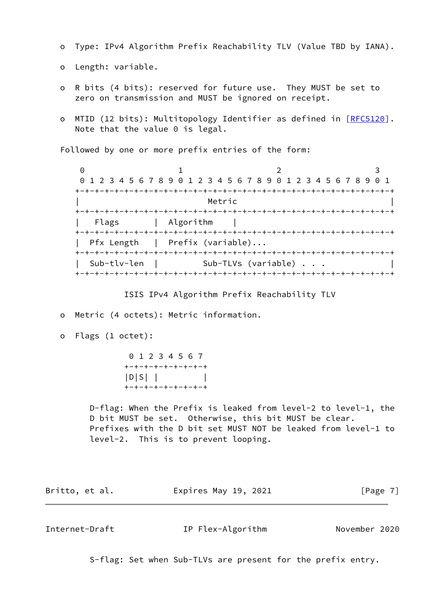- o Type: IPv4 Algorithm Prefix Reachability TLV (Value TBD by IANA).
- o Length: variable.
- o R bits (4 bits): reserved for future use. They MUST be set to zero on transmission and MUST be ignored on receipt.
- o MTID (12 bits): Multitopology Identifier as defined in [[RFC5120](https://datatracker.ietf.org/doc/pdf/rfc5120)]. Note that the value 0 is legal.

Followed by one or more prefix entries of the form:

0 1 2 3 0 1 2 3 4 5 6 7 8 9 0 1 2 3 4 5 6 7 8 9 0 1 2 3 4 5 6 7 8 9 0 1 +-+-+-+-+-+-+-+-+-+-+-+-+-+-+-+-+-+-+-+-+-+-+-+-+-+-+-+-+-+-+-+-+ | Metric | Metric | Network | Network | Network | Network | Network | Network | Network | Network | Network | N +-+-+-+-+-+-+-+-+-+-+-+-+-+-+-+-+-+-+-+-+-+-+-+-+-+-+-+-+-+-+-+-+ | Flags | Algorithm | +-+-+-+-+-+-+-+-+-+-+-+-+-+-+-+-+-+-+-+-+-+-+-+-+-+-+-+-+-+-+-+-+ | Pfx Length | Prefix (variable)... +-+-+-+-+-+-+-+-+-+-+-+-+-+-+-+-+-+-+-+-+-+-+-+-+-+-+-+-+-+-+-+-+ | Sub-tlv-len | Sub-TLVs (variable) . . . | +-+-+-+-+-+-+-+-+-+-+-+-+-+-+-+-+-+-+-+-+-+-+-+-+-+-+-+-+-+-+-+-+

#### ISIS IPv4 Algorithm Prefix Reachability TLV

- o Metric (4 octets): Metric information.
- o Flags (1 octet):

|                   |  |  | 0 1 2 3 4 5 6 7 |                   |
|-------------------|--|--|-----------------|-------------------|
| +-+-+-+-+-+-+-+-+ |  |  |                 |                   |
| $ D S $           |  |  |                 |                   |
|                   |  |  |                 | +-+-+-+-+-+-+-+-+ |

 D-flag: When the Prefix is leaked from level-2 to level-1, the D bit MUST be set. Otherwise, this bit MUST be clear. Prefixes with the D bit set MUST NOT be leaked from level-1 to level-2. This is to prevent looping.

| Britto, et al. | Expires May 19, 2021 | [Page 7] |
|----------------|----------------------|----------|
|----------------|----------------------|----------|

<span id="page-7-0"></span>Internet-Draft IP Flex-Algorithm November 2020

S-flag: Set when Sub-TLVs are present for the prefix entry.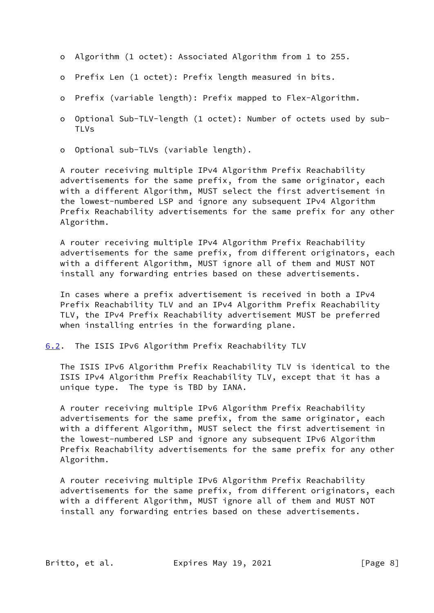- o Algorithm (1 octet): Associated Algorithm from 1 to 255.
- o Prefix Len (1 octet): Prefix length measured in bits.
- o Prefix (variable length): Prefix mapped to Flex-Algorithm.
- o Optional Sub-TLV-length (1 octet): Number of octets used by sub- TLVs
- o Optional sub-TLVs (variable length).

 A router receiving multiple IPv4 Algorithm Prefix Reachability advertisements for the same prefix, from the same originator, each with a different Algorithm, MUST select the first advertisement in the lowest-numbered LSP and ignore any subsequent IPv4 Algorithm Prefix Reachability advertisements for the same prefix for any other Algorithm.

 A router receiving multiple IPv4 Algorithm Prefix Reachability advertisements for the same prefix, from different originators, each with a different Algorithm, MUST ignore all of them and MUST NOT install any forwarding entries based on these advertisements.

 In cases where a prefix advertisement is received in both a IPv4 Prefix Reachability TLV and an IPv4 Algorithm Prefix Reachability TLV, the IPv4 Prefix Reachability advertisement MUST be preferred when installing entries in the forwarding plane.

<span id="page-8-0"></span>[6.2](#page-8-0). The ISIS IPv6 Algorithm Prefix Reachability TLV

 The ISIS IPv6 Algorithm Prefix Reachability TLV is identical to the ISIS IPv4 Algorithm Prefix Reachability TLV, except that it has a unique type. The type is TBD by IANA.

 A router receiving multiple IPv6 Algorithm Prefix Reachability advertisements for the same prefix, from the same originator, each with a different Algorithm, MUST select the first advertisement in the lowest-numbered LSP and ignore any subsequent IPv6 Algorithm Prefix Reachability advertisements for the same prefix for any other Algorithm.

 A router receiving multiple IPv6 Algorithm Prefix Reachability advertisements for the same prefix, from different originators, each with a different Algorithm, MUST ignore all of them and MUST NOT install any forwarding entries based on these advertisements.

Britto, et al. Expires May 19, 2021 [Page 8]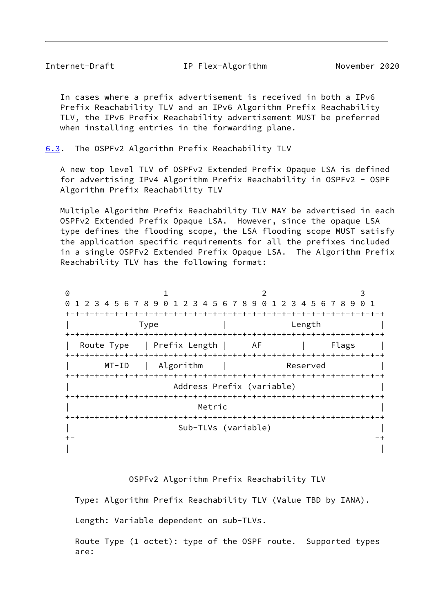<span id="page-9-1"></span>Internet-Draft IP Flex-Algorithm November 2020

 In cases where a prefix advertisement is received in both a IPv6 Prefix Reachability TLV and an IPv6 Algorithm Prefix Reachability TLV, the IPv6 Prefix Reachability advertisement MUST be preferred when installing entries in the forwarding plane.

<span id="page-9-0"></span>[6.3](#page-9-0). The OSPFv2 Algorithm Prefix Reachability TLV

 A new top level TLV of OSPFv2 Extended Prefix Opaque LSA is defined for advertising IPv4 Algorithm Prefix Reachability in OSPFv2 - OSPF Algorithm Prefix Reachability TLV

 Multiple Algorithm Prefix Reachability TLV MAY be advertised in each OSPFv2 Extended Prefix Opaque LSA. However, since the opaque LSA type defines the flooding scope, the LSA flooding scope MUST satisfy the application specific requirements for all the prefixes included in a single OSPFv2 Extended Prefix Opaque LSA. The Algorithm Prefix Reachability TLV has the following format:

| 0       |                                                               |              |          |       |
|---------|---------------------------------------------------------------|--------------|----------|-------|
| 0       | 1 2 3 4 5 6 7 8 9 0 1 2 3 4 5 6 7 8 9 0 1 2 3 4 5 6 7 8 9 0 1 |              |          |       |
|         |                                                               | -+-+-+-+-+-+ |          |       |
|         | Type                                                          |              | Length   |       |
|         |                                                               |              |          |       |
|         | Route Type   Prefix Length   AF                               |              |          | Flags |
|         |                                                               |              |          |       |
| $MT-ID$ | Algorithm                                                     |              | Reserved |       |
|         |                                                               |              |          |       |
|         | Address Prefix (variable)                                     |              |          |       |
|         |                                                               |              |          |       |
|         | Metric                                                        |              |          |       |
|         |                                                               |              |          |       |
|         | Sub-TLVs (variable)                                           |              |          |       |
|         |                                                               |              |          |       |
|         |                                                               |              |          |       |

OSPFv2 Algorithm Prefix Reachability TLV

Type: Algorithm Prefix Reachability TLV (Value TBD by IANA).

Length: Variable dependent on sub-TLVs.

 Route Type (1 octet): type of the OSPF route. Supported types are: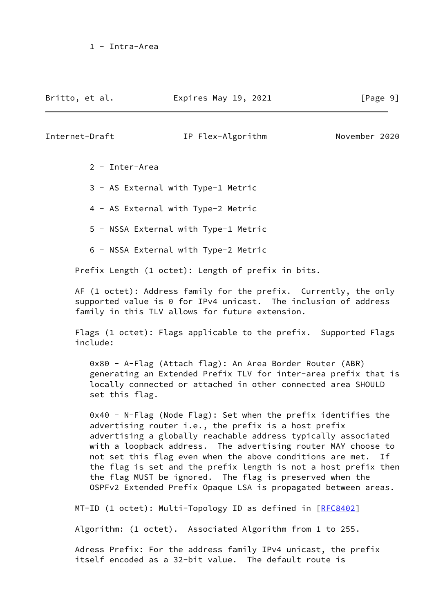Britto, et al. **Expires May 19, 2021** [Page 9]

## Internet-Draft IP Flex-Algorithm November 2020

- 2 Inter-Area
- 3 AS External with Type-1 Metric
- 4 AS External with Type-2 Metric
- 5 NSSA External with Type-1 Metric
- 6 NSSA External with Type-2 Metric

Prefix Length (1 octet): Length of prefix in bits.

 AF (1 octet): Address family for the prefix. Currently, the only supported value is 0 for IPv4 unicast. The inclusion of address family in this TLV allows for future extension.

 Flags (1 octet): Flags applicable to the prefix. Supported Flags include:

 0x80 - A-Flag (Attach flag): An Area Border Router (ABR) generating an Extended Prefix TLV for inter-area prefix that is locally connected or attached in other connected area SHOULD set this flag.

 0x40 - N-Flag (Node Flag): Set when the prefix identifies the advertising router i.e., the prefix is a host prefix advertising a globally reachable address typically associated with a loopback address. The advertising router MAY choose to not set this flag even when the above conditions are met. If the flag is set and the prefix length is not a host prefix then the flag MUST be ignored. The flag is preserved when the OSPFv2 Extended Prefix Opaque LSA is propagated between areas.

MT-ID (1 octet): Multi-Topology ID as defined in [\[RFC8402](https://datatracker.ietf.org/doc/pdf/rfc8402)]

Algorithm: (1 octet). Associated Algorithm from 1 to 255.

 Adress Prefix: For the address family IPv4 unicast, the prefix itself encoded as a 32-bit value. The default route is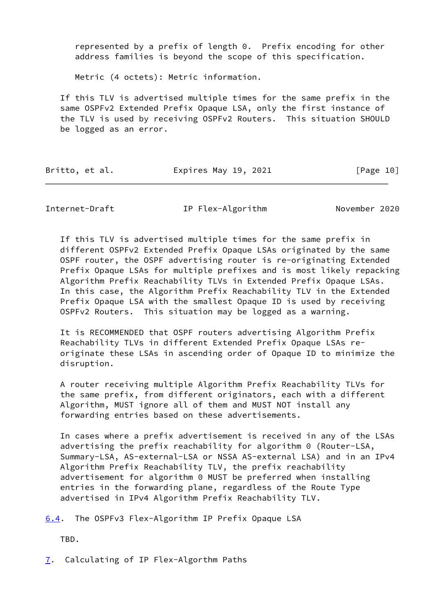represented by a prefix of length 0. Prefix encoding for other address families is beyond the scope of this specification.

Metric (4 octets): Metric information.

 If this TLV is advertised multiple times for the same prefix in the same OSPFv2 Extended Prefix Opaque LSA, only the first instance of the TLV is used by receiving OSPFv2 Routers. This situation SHOULD be logged as an error.

| Britto, et al. | Expires May 19, 2021 | [Page 10] |
|----------------|----------------------|-----------|
|                |                      |           |

<span id="page-11-1"></span>

Internet-Draft IP Flex-Algorithm November 2020

 If this TLV is advertised multiple times for the same prefix in different OSPFv2 Extended Prefix Opaque LSAs originated by the same OSPF router, the OSPF advertising router is re-originating Extended Prefix Opaque LSAs for multiple prefixes and is most likely repacking Algorithm Prefix Reachability TLVs in Extended Prefix Opaque LSAs. In this case, the Algorithm Prefix Reachability TLV in the Extended Prefix Opaque LSA with the smallest Opaque ID is used by receiving OSPFv2 Routers. This situation may be logged as a warning.

 It is RECOMMENDED that OSPF routers advertising Algorithm Prefix Reachability TLVs in different Extended Prefix Opaque LSAs re originate these LSAs in ascending order of Opaque ID to minimize the disruption.

 A router receiving multiple Algorithm Prefix Reachability TLVs for the same prefix, from different originators, each with a different Algorithm, MUST ignore all of them and MUST NOT install any forwarding entries based on these advertisements.

 In cases where a prefix advertisement is received in any of the LSAs advertising the prefix reachability for algorithm 0 (Router-LSA, Summary-LSA, AS-external-LSA or NSSA AS-external LSA) and in an IPv4 Algorithm Prefix Reachability TLV, the prefix reachability advertisement for algorithm 0 MUST be preferred when installing entries in the forwarding plane, regardless of the Route Type advertised in IPv4 Algorithm Prefix Reachability TLV.

<span id="page-11-0"></span>[6.4](#page-11-0). The OSPFv3 Flex-Algorithm IP Prefix Opaque LSA

TBD.

<span id="page-11-2"></span>[7](#page-11-2). Calculating of IP Flex-Algorthm Paths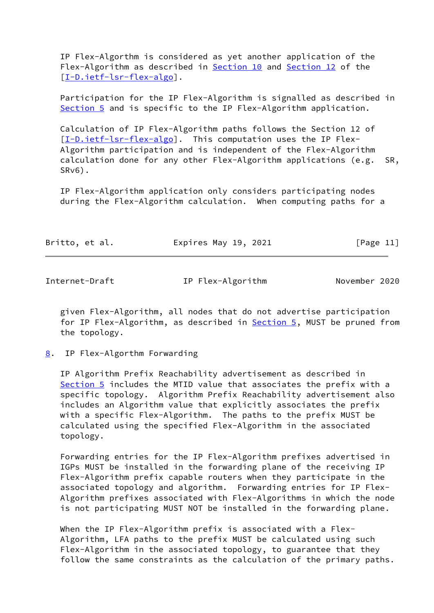IP Flex-Algorthm is considered as yet another application of the Flex-Algorithm as described in [Section 10](#page-13-1) and [Section 12](#page-15-0) of the [\[I-D.ietf-lsr-flex-algo](#page-15-4)].

 Participation for the IP Flex-Algorithm is signalled as described in [Section 5](#page-3-0) and is specific to the IP Flex-Algorithm application.

 Calculation of IP Flex-Algorithm paths follows the Section 12 of [\[I-D.ietf-lsr-flex-algo](#page-15-4)]. This computation uses the IP Flex- Algorithm participation and is independent of the Flex-Algorithm calculation done for any other Flex-Algorithm applications (e.g. SR, SRv6).

 IP Flex-Algorithm application only considers participating nodes during the Flex-Algorithm calculation. When computing paths for a

|  | Britto, et al. | Expires May 19, 2021 | [Page 11] |
|--|----------------|----------------------|-----------|
|--|----------------|----------------------|-----------|

<span id="page-12-1"></span>Internet-Draft IP Flex-Algorithm November 2020

 given Flex-Algorithm, all nodes that do not advertise participation for IP Flex-Algorithm, as described in **Section 5**, MUST be pruned from the topology.

<span id="page-12-0"></span>[8](#page-12-0). IP Flex-Algorthm Forwarding

 IP Algorithm Prefix Reachability advertisement as described in [Section 5](#page-3-0) includes the MTID value that associates the prefix with a specific topology. Algorithm Prefix Reachability advertisement also includes an Algorithm value that explicitly associates the prefix with a specific Flex-Algorithm. The paths to the prefix MUST be calculated using the specified Flex-Algorithm in the associated topology.

 Forwarding entries for the IP Flex-Algorithm prefixes advertised in IGPs MUST be installed in the forwarding plane of the receiving IP Flex-Algorithm prefix capable routers when they participate in the associated topology and algorithm. Forwarding entries for IP Flex- Algorithm prefixes associated with Flex-Algorithms in which the node is not participating MUST NOT be installed in the forwarding plane.

When the IP Flex-Algorithm prefix is associated with a Flex- Algorithm, LFA paths to the prefix MUST be calculated using such Flex-Algorithm in the associated topology, to guarantee that they follow the same constraints as the calculation of the primary paths.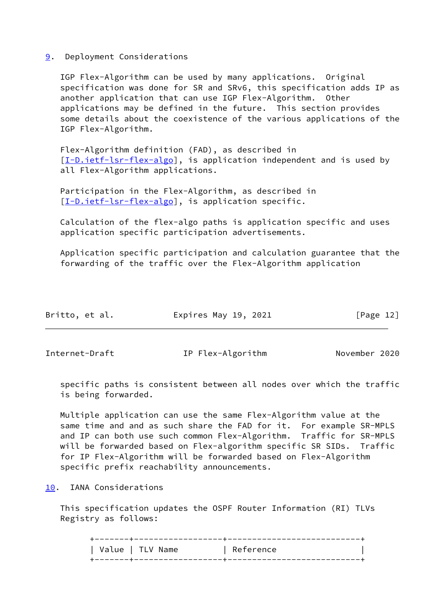## <span id="page-13-0"></span>[9](#page-13-0). Deployment Considerations

 IGP Flex-Algorithm can be used by many applications. Original specification was done for SR and SRv6, this specification adds IP as another application that can use IGP Flex-Algorithm. Other applications may be defined in the future. This section provides some details about the coexistence of the various applications of the IGP Flex-Algorithm.

 Flex-Algorithm definition (FAD), as described in [\[I-D.ietf-lsr-flex-algo](#page-15-4)], is application independent and is used by all Flex-Algorithm applications.

 Participation in the Flex-Algorithm, as described in [\[I-D.ietf-lsr-flex-algo](#page-15-4)], is application specific.

 Calculation of the flex-algo paths is application specific and uses application specific participation advertisements.

 Application specific participation and calculation guarantee that the forwarding of the traffic over the Flex-Algorithm application

| Britto, et al. | Expires May 19, 2021 | [Page 12] |
|----------------|----------------------|-----------|
|----------------|----------------------|-----------|

<span id="page-13-2"></span>Internet-Draft IP Flex-Algorithm November 2020

 specific paths is consistent between all nodes over which the traffic is being forwarded.

 Multiple application can use the same Flex-Algorithm value at the same time and and as such share the FAD for it. For example SR-MPLS and IP can both use such common Flex-Algorithm. Traffic for SR-MPLS will be forwarded based on Flex-algorithm specific SR SIDs. Traffic for IP Flex-Algorithm will be forwarded based on Flex-Algorithm specific prefix reachability announcements.

<span id="page-13-1"></span>[10.](#page-13-1) IANA Considerations

 This specification updates the OSPF Router Information (RI) TLVs Registry as follows:

 +-------+------------------+---------------------------+ | Value | TLV Name | Reference +-------+------------------+---------------------------+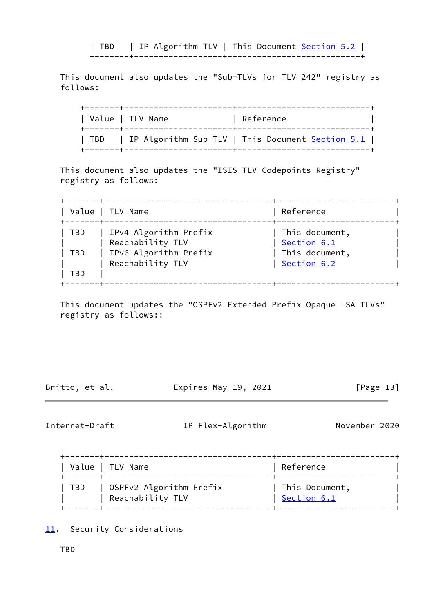| TBD | IP Algorithm TLV | This Document [Section 5.2](#page-4-0) | +-------+------------------+---------------------------+

 This document also updates the "Sub-TLVs for TLV 242" registry as follows:

|         | Value   TLV Name | Reference                                               |
|---------|------------------|---------------------------------------------------------|
| I TBD I |                  | IP Algorithm Sub-TLV   This Document <u>Section 5.1</u> |

 This document also updates the "ISIS TLV Codepoints Registry" registry as follows:

 +-------+----------------------------------+------------------------+ | Value | TLV Name | Reference | +-------+----------------------------------+------------------------+ | TBD | IPv4 Algorithm Prefix | This document, | | | Reachability TLV | [Section 6.1](#page-6-0) | | TBD | IPv6 Algorithm Prefix | This document, | | | Reachability TLV | [Section 6.2](#page-8-0) | | TBD +-------+----------------------------------+------------------------+

 This document updates the "OSPFv2 Extended Prefix Opaque LSA TLVs" registry as follows::

Britto, et al. Expires May 19, 2021 [Page 13]

<span id="page-14-1"></span>Internet-Draft IP Flex-Algorithm November 2020

 +-------+----------------------------------+------------------------+ | Value | TLV Name | November | Reference +-------+----------------------------------+------------------------+ | TBD | OSPFv2 Algorithm Prefix | This Document, | | | Reachability TLV | [Section 6.1](#page-6-0) | +-------+----------------------------------+------------------------+

<span id="page-14-0"></span>[11.](#page-14-0) Security Considerations

TBD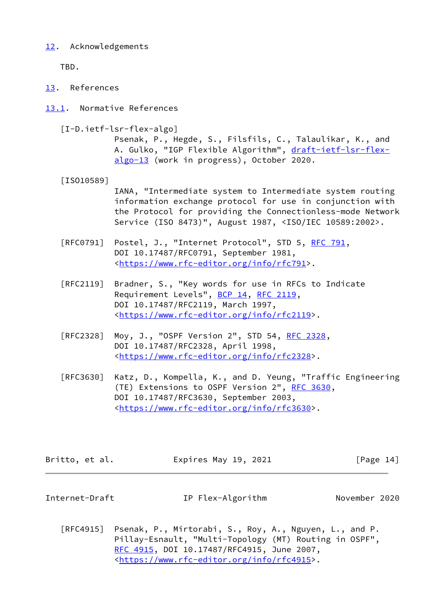# <span id="page-15-0"></span>[12.](#page-15-0) Acknowledgements

TBD.

- <span id="page-15-1"></span>[13.](#page-15-1) References
- <span id="page-15-4"></span><span id="page-15-2"></span>[13.1](#page-15-2). Normative References
	- [I-D.ietf-lsr-flex-algo]

 Psenak, P., Hegde, S., Filsfils, C., Talaulikar, K., and A. Gulko, "IGP Flexible Algorithm", [draft-ietf-lsr-flex](https://datatracker.ietf.org/doc/pdf/draft-ietf-lsr-flex-algo-13) [algo-13](https://datatracker.ietf.org/doc/pdf/draft-ietf-lsr-flex-algo-13) (work in progress), October 2020.

<span id="page-15-5"></span>[ISO10589]

 IANA, "Intermediate system to Intermediate system routing information exchange protocol for use in conjunction with the Protocol for providing the Connectionless-mode Network Service (ISO 8473)", August 1987, <ISO/IEC 10589:2002>.

- [RFC0791] Postel, J., "Internet Protocol", STD 5, [RFC 791](https://datatracker.ietf.org/doc/pdf/rfc791), DOI 10.17487/RFC0791, September 1981, <<https://www.rfc-editor.org/info/rfc791>>.
- [RFC2119] Bradner, S., "Key words for use in RFCs to Indicate Requirement Levels", [BCP 14](https://datatracker.ietf.org/doc/pdf/bcp14), [RFC 2119](https://datatracker.ietf.org/doc/pdf/rfc2119), DOI 10.17487/RFC2119, March 1997, <[https://www.rfc-editor.org/info/rfc2119>](https://www.rfc-editor.org/info/rfc2119).
- [RFC2328] Moy, J., "OSPF Version 2", STD 54, [RFC 2328](https://datatracker.ietf.org/doc/pdf/rfc2328), DOI 10.17487/RFC2328, April 1998, <[https://www.rfc-editor.org/info/rfc2328>](https://www.rfc-editor.org/info/rfc2328).
- [RFC3630] Katz, D., Kompella, K., and D. Yeung, "Traffic Engineering (TE) Extensions to OSPF Version 2", [RFC 3630,](https://datatracker.ietf.org/doc/pdf/rfc3630) DOI 10.17487/RFC3630, September 2003, <[https://www.rfc-editor.org/info/rfc3630>](https://www.rfc-editor.org/info/rfc3630).

Britto, et al. Expires May 19, 2021 [Page 14]

<span id="page-15-3"></span>Internet-Draft IP Flex-Algorithm November 2020

 [RFC4915] Psenak, P., Mirtorabi, S., Roy, A., Nguyen, L., and P. Pillay-Esnault, "Multi-Topology (MT) Routing in OSPF", [RFC 4915,](https://datatracker.ietf.org/doc/pdf/rfc4915) DOI 10.17487/RFC4915, June 2007, <[https://www.rfc-editor.org/info/rfc4915>](https://www.rfc-editor.org/info/rfc4915).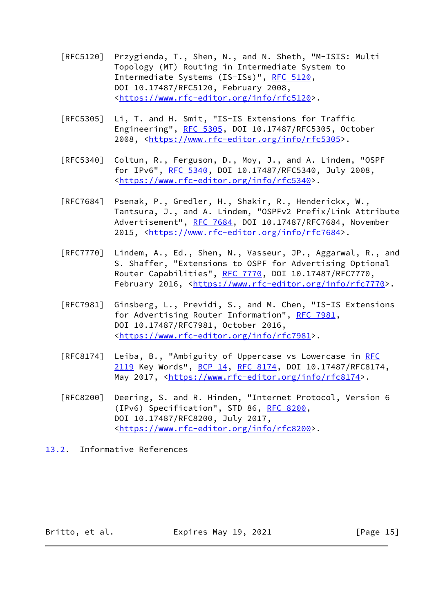- [RFC5120] Przygienda, T., Shen, N., and N. Sheth, "M-ISIS: Multi Topology (MT) Routing in Intermediate System to Intermediate Systems (IS-ISs)", [RFC 5120,](https://datatracker.ietf.org/doc/pdf/rfc5120) DOI 10.17487/RFC5120, February 2008, <[https://www.rfc-editor.org/info/rfc5120>](https://www.rfc-editor.org/info/rfc5120).
- [RFC5305] Li, T. and H. Smit, "IS-IS Extensions for Traffic Engineering", [RFC 5305](https://datatracker.ietf.org/doc/pdf/rfc5305), DOI 10.17487/RFC5305, October 2008, [<https://www.rfc-editor.org/info/rfc5305](https://www.rfc-editor.org/info/rfc5305)>.
- [RFC5340] Coltun, R., Ferguson, D., Moy, J., and A. Lindem, "OSPF for IPv6", [RFC 5340](https://datatracker.ietf.org/doc/pdf/rfc5340), DOI 10.17487/RFC5340, July 2008, <[https://www.rfc-editor.org/info/rfc5340>](https://www.rfc-editor.org/info/rfc5340).
- [RFC7684] Psenak, P., Gredler, H., Shakir, R., Henderickx, W., Tantsura, J., and A. Lindem, "OSPFv2 Prefix/Link Attribute Advertisement", [RFC 7684,](https://datatracker.ietf.org/doc/pdf/rfc7684) DOI 10.17487/RFC7684, November 2015, [<https://www.rfc-editor.org/info/rfc7684](https://www.rfc-editor.org/info/rfc7684)>.
- [RFC7770] Lindem, A., Ed., Shen, N., Vasseur, JP., Aggarwal, R., and S. Shaffer, "Extensions to OSPF for Advertising Optional Router Capabilities", [RFC 7770](https://datatracker.ietf.org/doc/pdf/rfc7770), DOI 10.17487/RFC7770, February 2016, <<https://www.rfc-editor.org/info/rfc7770>>.
- [RFC7981] Ginsberg, L., Previdi, S., and M. Chen, "IS-IS Extensions for Advertising Router Information", [RFC 7981](https://datatracker.ietf.org/doc/pdf/rfc7981), DOI 10.17487/RFC7981, October 2016, <[https://www.rfc-editor.org/info/rfc7981>](https://www.rfc-editor.org/info/rfc7981).
- [RFC8174] Leiba, B., "Ambiguity of Uppercase vs Lowercase in [RFC](https://datatracker.ietf.org/doc/pdf/rfc2119) [2119](https://datatracker.ietf.org/doc/pdf/rfc2119) Key Words", [BCP 14](https://datatracker.ietf.org/doc/pdf/bcp14), [RFC 8174,](https://datatracker.ietf.org/doc/pdf/rfc8174) DOI 10.17487/RFC8174, May 2017, [<https://www.rfc-editor.org/info/rfc8174](https://www.rfc-editor.org/info/rfc8174)>.
- [RFC8200] Deering, S. and R. Hinden, "Internet Protocol, Version 6 (IPv6) Specification", STD 86, [RFC 8200](https://datatracker.ietf.org/doc/pdf/rfc8200), DOI 10.17487/RFC8200, July 2017, <[https://www.rfc-editor.org/info/rfc8200>](https://www.rfc-editor.org/info/rfc8200).
- <span id="page-16-0"></span>[13.2](#page-16-0). Informative References

Britto, et al. Expires May 19, 2021 [Page 15]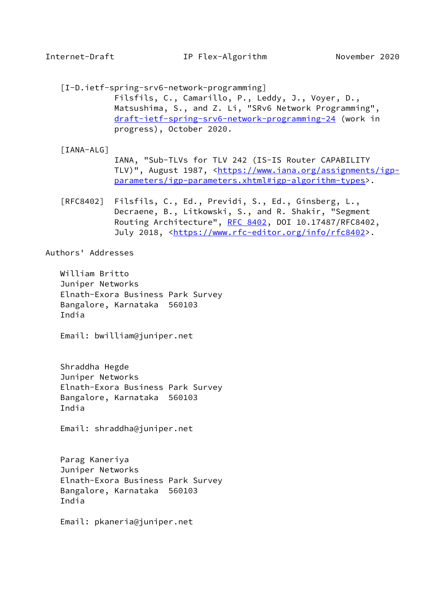<span id="page-17-1"></span><span id="page-17-0"></span> [I-D.ietf-spring-srv6-network-programming] Filsfils, C., Camarillo, P., Leddy, J., Voyer, D., Matsushima, S., and Z. Li, "SRv6 Network Programming", [draft-ietf-spring-srv6-network-programming-24](https://datatracker.ietf.org/doc/pdf/draft-ietf-spring-srv6-network-programming-24) (work in progress), October 2020.

## <span id="page-17-2"></span>[IANA-ALG]

- IANA, "Sub-TLVs for TLV 242 (IS-IS Router CAPABILITY TLV)", August 1987, [<https://www.iana.org/assignments/igp](https://www.iana.org/assignments/igp-parameters/igp-parameters.xhtml#igp-algorithm-types) [parameters/igp-parameters.xhtml#igp-algorithm-types](https://www.iana.org/assignments/igp-parameters/igp-parameters.xhtml#igp-algorithm-types)>.
- [RFC8402] Filsfils, C., Ed., Previdi, S., Ed., Ginsberg, L., Decraene, B., Litkowski, S., and R. Shakir, "Segment Routing Architecture", [RFC 8402](https://datatracker.ietf.org/doc/pdf/rfc8402), DOI 10.17487/RFC8402, July 2018, <<https://www.rfc-editor.org/info/rfc8402>>.

Authors' Addresses

 William Britto Juniper Networks Elnath-Exora Business Park Survey Bangalore, Karnataka 560103 India

Email: bwilliam@juniper.net

 Shraddha Hegde Juniper Networks Elnath-Exora Business Park Survey Bangalore, Karnataka 560103 India

Email: shraddha@juniper.net

 Parag Kaneriya Juniper Networks Elnath-Exora Business Park Survey Bangalore, Karnataka 560103 India

Email: pkaneria@juniper.net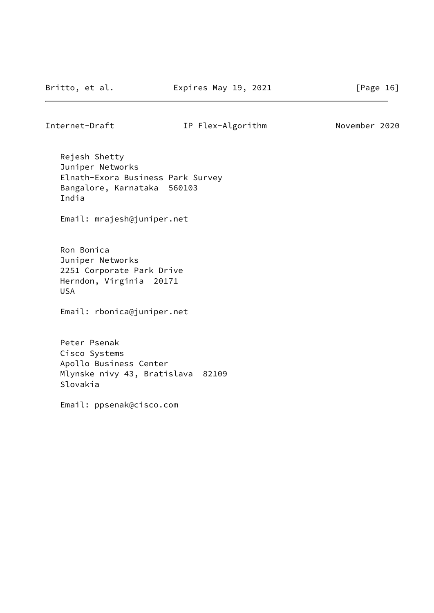# Internet-Draft IP Flex-Algorithm November 2020

 Rejesh Shetty Juniper Networks Elnath-Exora Business Park Survey Bangalore, Karnataka 560103 India

Email: mrajesh@juniper.net

 Ron Bonica Juniper Networks 2251 Corporate Park Drive Herndon, Virginia 20171 USA

Email: rbonica@juniper.net

 Peter Psenak Cisco Systems Apollo Business Center Mlynske nivy 43, Bratislava 82109 Slovakia

Email: ppsenak@cisco.com